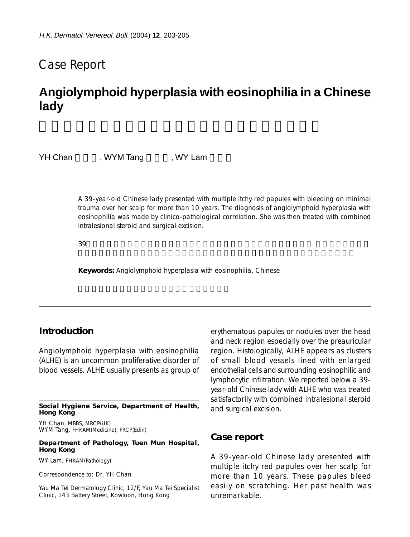## Case Report

# **Angiolymphoid hyperplasia with eosinophilia in a Chinese lady**

YH Chan , WYM Tang , WY Lam

A 39-year-old Chinese lady presented with multiple itchy red papules with bleeding on minimal trauma over her scalp for more than 10 years. The diagnosis of angiolymphoid hyperplasia with eosinophilia was made by clinico-pathological correlation. She was then treated with combined intralesional steroid and surgical excision.

 $39$ 

**Keywords:** Angiolymphoid hyperplasia with eosinophilia, Chinese

### **Introduction**

Angiolymphoid hyperplasia with eosinophilia (ALHE) is an uncommon proliferative disorder of blood vessels. ALHE usually presents as group of

**Social Hygiene Service, Department of Health, Hong Kong**

YH Chan, MBBS, MRCP(UK) WYM Tang, FHKAM(Medicine), FRCP(Edin)

**Department of Pathology, Tuen Mun Hospital, Hong Kong**

WY Lam, FHKAM(Pathology)

Correspondence to: Dr. YH Chan

Yau Ma Tei Dermatology Clinic, 12/F, Yau Ma Tei Specialist Clinic, 143 Battery Street, Kowloon, Hong Kong

erythematous papules or nodules over the head and neck region especially over the preauricular region. Histologically, ALHE appears as clusters of small blood vessels lined with enlarged endothelial cells and surrounding eosinophilic and lymphocytic infiltration. We reported below a 39 year-old Chinese lady with ALHE who was treated satisfactorily with combined intralesional steroid and surgical excision.

#### **Case report**

A 39-year-old Chinese lady presented with multiple itchy red papules over her scalp for more than 10 years. These papules bleed easily on scratching. Her past health was unremarkable.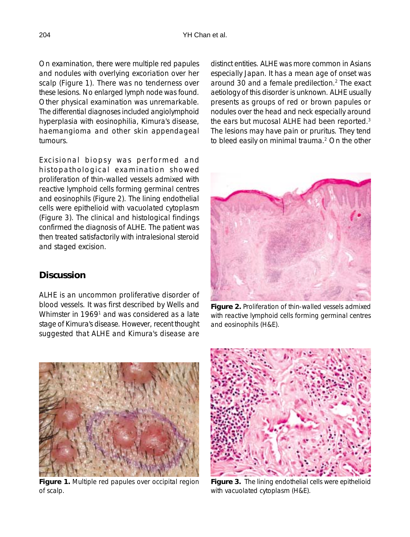On examination, there were multiple red papules and nodules with overlying excoriation over her scalp (Figure 1). There was no tenderness over these lesions. No enlarged lymph node was found. Other physical examination was unremarkable. The differential diagnoses included angiolymphoid hyperplasia with eosinophilia, Kimura's disease, haemangioma and other skin appendageal tumours.

Excisional biopsy was performed and histopathological examination showed proliferation of thin-walled vessels admixed with reactive lymphoid cells forming germinal centres and eosinophils (Figure 2). The lining endothelial cells were epithelioid with vacuolated cytoplasm (Figure 3). The clinical and histological findings confirmed the diagnosis of ALHE. The patient was then treated satisfactorily with intralesional steroid and staged excision.

## **Discussion**

ALHE is an uncommon proliferative disorder of blood vessels. It was first described by Wells and Whimster in 1969<sup>1</sup> and was considered as a late stage of Kimura's disease. However, recent thought suggested that ALHE and Kimura's disease are distinct entities. ALHE was more common in Asians especially Japan. It has a mean age of onset was around 30 and a female predilection.<sup>2</sup> The exact aetiology of this disorder is unknown. ALHE usually presents as groups of red or brown papules or nodules over the head and neck especially around the ears but mucosal ALHE had been reported.<sup>3</sup> The lesions may have pain or pruritus. They tend to bleed easily on minimal trauma.<sup>2</sup> On the other



**Figure 2.** Proliferation of thin-walled vessels admixed with reactive lymphoid cells forming germinal centres and eosinophils (H&E).



**Figure 1.** Multiple red papules over occipital region of scalp.



**Figure 3.** The lining endothelial cells were epithelioid with vacuolated cytoplasm (H&E).